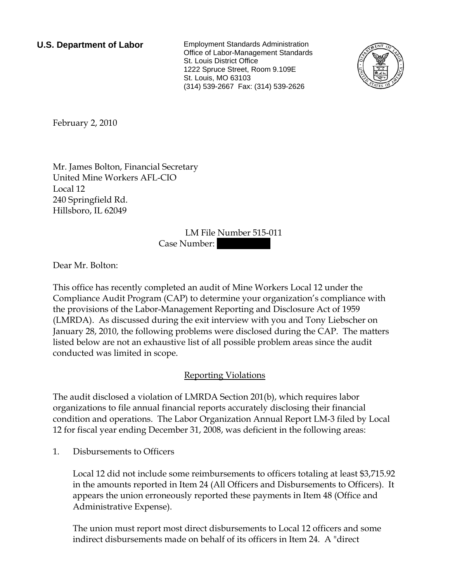**U.S. Department of Labor** Employment Standards Administration Office of Labor-Management Standards St. Louis District Office 1222 Spruce Street, Room 9.109E St. Louis, MO 63103 (314) 539-2667 Fax: (314) 539-2626



<span id="page-0-0"></span>February 2, 2010

[Mr.](#page-0-0) [James](#page-0-0) [Bolton](#page-0-0), [Financial Secretary](#page-0-0)  [United Mine Workers AFL-CIO](#page-0-0)  [Local 12](#page-0-0)  [240 Springfield Rd.](#page-0-0)  [Hillsboro, IL 62049](#page-0-0) 

LM File Number [515-011](#page-0-0) 

Case Number:

Dear [Mr.](#page-0-0) [Bolton:](#page-0-0)

This office has recently completed an audit of [Mine Workers Local 12](#page-0-0) under the Compliance Audit Program (CAP) to determine your organization's compliance with the provisions of the Labor-Management Reporting and Disclosure Act of 1959 (LMRDA). As discussed during the exit interview with [you and Tony Liebscher](#page-0-0) on [January 28, 2010,](#page-0-0) the following problems were disclosed during the CAP. The matters listed below are not an exhaustive list of all possible problem areas since the audit conducted was limited in scope.

## Reporting Violations

The audit disclosed a violation of LMRDA Section 201(b), which requires labor organizations to file annual financial reports accurately disclosing their financial condition and operations. The Labor Organization Annual Report LM-3 filed by Local 12 for fiscal year ending December 31, 2008, was deficient in the following areas:

1. Disbursements to Officers

Local 12 did not include some reimbursements to officers totaling at least \$3,715.92 in the amounts reported in Item 24 (All Officers and Disbursements to Officers). It appears the union erroneously reported these payments in Item 48 (Office and Administrative Expense).

The union must report most direct disbursements to Local 12 officers and some indirect disbursements made on behalf of its officers in Item 24. A "direct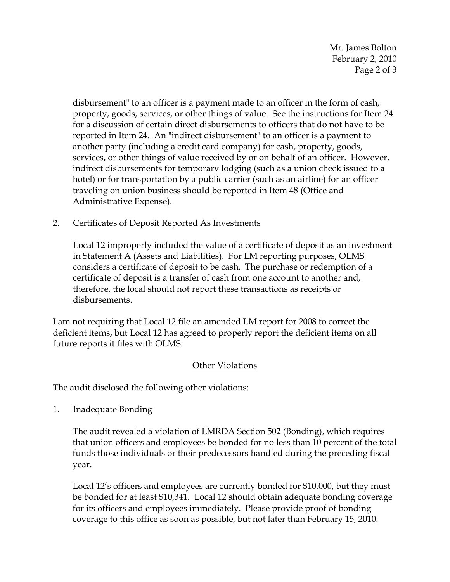Mr. James Bolton February 2, 2010 Page 2 of 3

disbursement" to an officer is a payment made to an officer in the form of cash, property, goods, services, or other things of value. See the instructions for Item 24 for a discussion of certain direct disbursements to officers that do not have to be reported in Item 24. An "indirect disbursement" to an officer is a payment to another party (including a credit card company) for cash, property, goods, services, or other things of value received by or on behalf of an officer. However, indirect disbursements for temporary lodging (such as a union check issued to a hotel) or for transportation by a public carrier (such as an airline) for an officer traveling on union business should be reported in Item 48 (Office and Administrative Expense).

2. Certificates of Deposit Reported As Investments

Local 12 improperly included the value of a certificate of deposit as an investment in Statement A (Assets and Liabilities). For LM reporting purposes, OLMS considers a certificate of deposit to be cash. The purchase or redemption of a certificate of deposit is a transfer of cash from one account to another and, therefore, the local should not report these transactions as receipts or disbursements.

I am not requiring that Local 12 file an amended LM report for 2008 to correct the deficient items, but Local 12 has agreed to properly report the deficient items on all future reports it files with OLMS.

## Other Violations

The audit disclosed the following other violations:

1. Inadequate Bonding

The audit revealed a violation of LMRDA Section 502 (Bonding), which requires that union officers and employees be bonded for no less than 10 percent of the total funds those individuals or their predecessors handled during the preceding fiscal year.

Local 12's officers and employees are currently bonded for \$10,000, but they must be bonded for at least \$10,341. Local 12 should obtain adequate bonding coverage for its officers and employees immediately. Please provide proof of bonding coverage to this office as soon as possible, but not later than February 15, 2010.